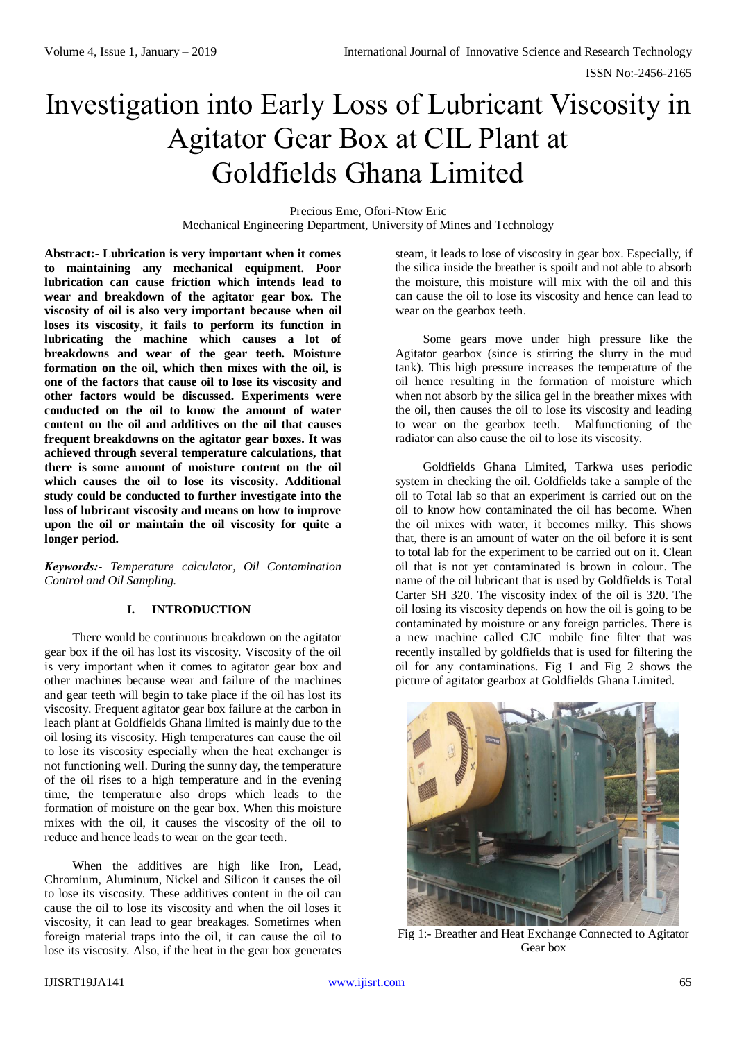# Investigation into Early Loss of Lubricant Viscosity in Agitator Gear Box at CIL Plant at Goldfields Ghana Limited

Precious Eme, Ofori-Ntow Eric Mechanical Engineering Department, University of Mines and Technology

**Abstract:- Lubrication is very important when it comes to maintaining any mechanical equipment. Poor lubrication can cause friction which intends lead to wear and breakdown of the agitator gear box. The viscosity of oil is also very important because when oil loses its viscosity, it fails to perform its function in lubricating the machine which causes a lot of breakdowns and wear of the gear teeth. Moisture formation on the oil, which then mixes with the oil, is one of the factors that cause oil to lose its viscosity and other factors would be discussed. Experiments were conducted on the oil to know the amount of water content on the oil and additives on the oil that causes frequent breakdowns on the agitator gear boxes. It was achieved through several temperature calculations, that there is some amount of moisture content on the oil which causes the oil to lose its viscosity. Additional study could be conducted to further investigate into the loss of lubricant viscosity and means on how to improve upon the oil or maintain the oil viscosity for quite a longer period.** 

*Keywords:- Temperature calculator, Oil Contamination Control and Oil Sampling.*

## **I. INTRODUCTION**

There would be continuous breakdown on the agitator gear box if the oil has lost its viscosity. Viscosity of the oil is very important when it comes to agitator gear box and other machines because wear and failure of the machines and gear teeth will begin to take place if the oil has lost its viscosity. Frequent agitator gear box failure at the carbon in leach plant at Goldfields Ghana limited is mainly due to the oil losing its viscosity. High temperatures can cause the oil to lose its viscosity especially when the heat exchanger is not functioning well. During the sunny day, the temperature of the oil rises to a high temperature and in the evening time, the temperature also drops which leads to the formation of moisture on the gear box. When this moisture mixes with the oil, it causes the viscosity of the oil to reduce and hence leads to wear on the gear teeth.

When the additives are high like Iron, Lead, Chromium, Aluminum, Nickel and Silicon it causes the oil to lose its viscosity. These additives content in the oil can cause the oil to lose its viscosity and when the oil loses it viscosity, it can lead to gear breakages. Sometimes when foreign material traps into the oil, it can cause the oil to lose its viscosity. Also, if the heat in the gear box generates

steam, it leads to lose of viscosity in gear box. Especially, if the silica inside the breather is spoilt and not able to absorb the moisture, this moisture will mix with the oil and this can cause the oil to lose its viscosity and hence can lead to wear on the gearbox teeth.

Some gears move under high pressure like the Agitator gearbox (since is stirring the slurry in the mud tank). This high pressure increases the temperature of the oil hence resulting in the formation of moisture which when not absorb by the silica gel in the breather mixes with the oil, then causes the oil to lose its viscosity and leading to wear on the gearbox teeth. Malfunctioning of the radiator can also cause the oil to lose its viscosity.

Goldfields Ghana Limited, Tarkwa uses periodic system in checking the oil. Goldfields take a sample of the oil to Total lab so that an experiment is carried out on the oil to know how contaminated the oil has become. When the oil mixes with water, it becomes milky. This shows that, there is an amount of water on the oil before it is sent to total lab for the experiment to be carried out on it. Clean oil that is not yet contaminated is brown in colour. The name of the oil lubricant that is used by Goldfields is Total Carter SH 320. The viscosity index of the oil is 320. The oil losing its viscosity depends on how the oil is going to be contaminated by moisture or any foreign particles. There is a new machine called CJC mobile fine filter that was recently installed by goldfields that is used for filtering the oil for any contaminations. Fig 1 and Fig 2 shows the picture of agitator gearbox at Goldfields Ghana Limited.



Fig 1:- Breather and Heat Exchange Connected to Agitator Gear box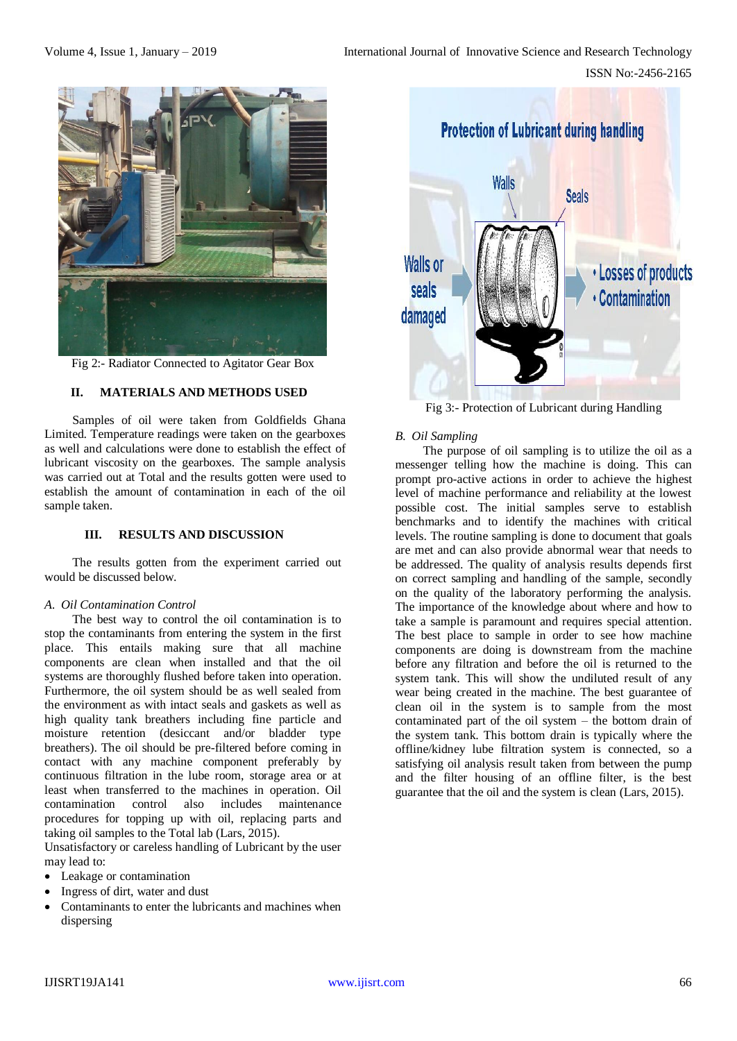

Fig 2:- Radiator Connected to Agitator Gear Box

## **II. MATERIALS AND METHODS USED**

Samples of oil were taken from Goldfields Ghana Limited. Temperature readings were taken on the gearboxes as well and calculations were done to establish the effect of lubricant viscosity on the gearboxes. The sample analysis was carried out at Total and the results gotten were used to establish the amount of contamination in each of the oil sample taken.

## **III. RESULTS AND DISCUSSION**

The results gotten from the experiment carried out would be discussed below.

#### *A. Oil Contamination Control*

The best way to control the oil contamination is to stop the contaminants from entering the system in the first place. This entails making sure that all machine components are clean when installed and that the oil systems are thoroughly flushed before taken into operation. Furthermore, the oil system should be as well sealed from the environment as with intact seals and gaskets as well as high quality tank breathers including fine particle and moisture retention (desiccant and/or bladder type breathers). The oil should be pre-filtered before coming in contact with any machine component preferably by continuous filtration in the lube room, storage area or at least when transferred to the machines in operation. Oil contamination control also includes maintenance procedures for topping up with oil, replacing parts and taking oil samples to the Total lab (Lars, 2015).

Unsatisfactory or careless handling of Lubricant by the user may lead to:

- Leakage or contamination
- Ingress of dirt, water and dust
- Contaminants to enter the lubricants and machines when dispersing



Fig 3:- Protection of Lubricant during Handling

## *B. Oil Sampling*

The purpose of oil sampling is to utilize the oil as a messenger telling how the machine is doing. This can prompt pro-active actions in order to achieve the highest level of machine performance and reliability at the lowest possible cost. The initial samples serve to establish benchmarks and to identify the machines with critical levels. The routine sampling is done to document that goals are met and can also provide abnormal wear that needs to be addressed. The quality of analysis results depends first on correct sampling and handling of the sample, secondly on the quality of the laboratory performing the analysis. The importance of the knowledge about where and how to take a sample is paramount and requires special attention. The best place to sample in order to see how machine components are doing is downstream from the machine before any filtration and before the oil is returned to the system tank. This will show the undiluted result of any wear being created in the machine. The best guarantee of clean oil in the system is to sample from the most contaminated part of the oil system – the bottom drain of the system tank. This bottom drain is typically where the offline/kidney lube filtration system is connected, so a satisfying oil analysis result taken from between the pump and the filter housing of an offline filter, is the best guarantee that the oil and the system is clean (Lars, 2015).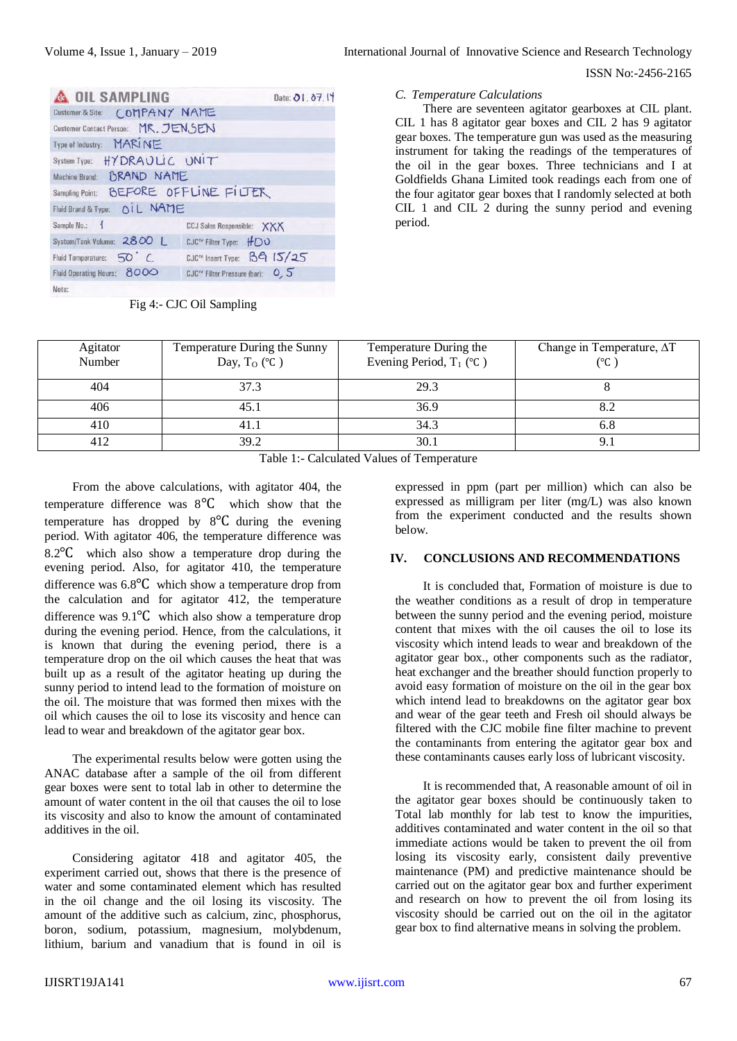#### ISSN No:-2456-2165

| <b>A OIL SAMPLING</b>                 | Date: 01, 07.14                   |
|---------------------------------------|-----------------------------------|
| Customer & Site: COMPANY NAME         |                                   |
| Customer Contact Person: MR. JENSEN   |                                   |
| Type of Industry: MARINE              |                                   |
| System Type: HYDRAULIC UNIT           |                                   |
| <b>BRAND NAME</b><br>Machine Brand:   |                                   |
| Sampling Point: BEFORE OFFLINE FILTER |                                   |
| Fluid Brand & Type: OIL NAME          |                                   |
| Sample No.:                           | <b>CCJ Sales Responsible: XXX</b> |
| System/Tank Volume: 2800 L            | CJC™ Filter Type: HDO             |
| Fluid Temperature: 50 C.              | CJC™ Insert Type: B9 15/25        |
| Fluid Operating Hours: 8000           | CJC™ Filter Pressure (bar): 0, 5  |
| Note:                                 |                                   |

Fig 4:- CJC Oil Sampling

### *C. Temperature Calculations*

There are seventeen agitator gearboxes at CIL plant. CIL 1 has 8 agitator gear boxes and CIL 2 has 9 agitator gear boxes. The temperature gun was used as the measuring instrument for taking the readings of the temperatures of the oil in the gear boxes. Three technicians and I at Goldfields Ghana Limited took readings each from one of the four agitator gear boxes that I randomly selected at both CIL 1 and CIL 2 during the sunny period and evening period.

| Agitator                                    | Temperature During the Sunny | Temperature During the     | Change in Temperature, $\Delta T$ |  |
|---------------------------------------------|------------------------------|----------------------------|-----------------------------------|--|
| Number                                      | Day, $T_O$ (°C)              | Evening Period, $T_1$ (°C) | (°C )                             |  |
|                                             |                              |                            |                                   |  |
| 404                                         | 37.3                         | 29.3                       |                                   |  |
|                                             |                              |                            |                                   |  |
| 406                                         | 45.1                         | 36.9                       | 8.2                               |  |
| 410                                         | 41.1                         | 34.3                       | 6.8                               |  |
| 412                                         | 39.2                         | 30.1                       | 9.1                               |  |
| Table 1. Calculated Values of Tennametries. |                              |                            |                                   |  |

Table 1:- Calculated Values of Temperature

From the above calculations, with agitator 404, the temperature difference was 8℃ which show that the temperature has dropped by 8℃ during the evening period. With agitator 406, the temperature difference was 8.2℃ which also show a temperature drop during the evening period. Also, for agitator 410, the temperature difference was 6.8℃ which show a temperature drop from the calculation and for agitator 412, the temperature difference was 9.1℃ which also show a temperature drop during the evening period. Hence, from the calculations, it is known that during the evening period, there is a temperature drop on the oil which causes the heat that was built up as a result of the agitator heating up during the sunny period to intend lead to the formation of moisture on the oil. The moisture that was formed then mixes with the oil which causes the oil to lose its viscosity and hence can lead to wear and breakdown of the agitator gear box.

The experimental results below were gotten using the ANAC database after a sample of the oil from different gear boxes were sent to total lab in other to determine the amount of water content in the oil that causes the oil to lose its viscosity and also to know the amount of contaminated additives in the oil.

Considering agitator 418 and agitator 405, the experiment carried out, shows that there is the presence of water and some contaminated element which has resulted in the oil change and the oil losing its viscosity. The amount of the additive such as calcium, zinc, phosphorus, boron, sodium, potassium, magnesium, molybdenum, lithium, barium and vanadium that is found in oil is

expressed in ppm (part per million) which can also be expressed as milligram per liter (mg/L) was also known from the experiment conducted and the results shown below.

#### **IV. CONCLUSIONS AND RECOMMENDATIONS**

It is concluded that, Formation of moisture is due to the weather conditions as a result of drop in temperature between the sunny period and the evening period, moisture content that mixes with the oil causes the oil to lose its viscosity which intend leads to wear and breakdown of the agitator gear box., other components such as the radiator, heat exchanger and the breather should function properly to avoid easy formation of moisture on the oil in the gear box which intend lead to breakdowns on the agitator gear box and wear of the gear teeth and Fresh oil should always be filtered with the CJC mobile fine filter machine to prevent the contaminants from entering the agitator gear box and these contaminants causes early loss of lubricant viscosity.

It is recommended that, A reasonable amount of oil in the agitator gear boxes should be continuously taken to Total lab monthly for lab test to know the impurities, additives contaminated and water content in the oil so that immediate actions would be taken to prevent the oil from losing its viscosity early, consistent daily preventive maintenance (PM) and predictive maintenance should be carried out on the agitator gear box and further experiment and research on how to prevent the oil from losing its viscosity should be carried out on the oil in the agitator gear box to find alternative means in solving the problem.